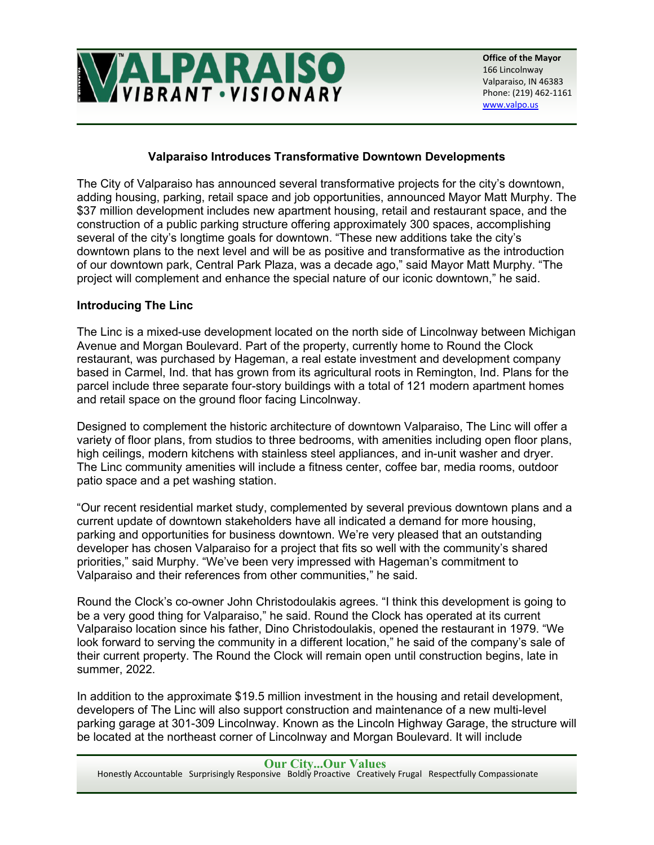

## **Valparaiso Introduces Transformative Downtown Developments**

The City of Valparaiso has announced several transformative projects for the city's downtown, adding housing, parking, retail space and job opportunities, announced Mayor Matt Murphy. The \$37 million development includes new apartment housing, retail and restaurant space, and the construction of a public parking structure offering approximately 300 spaces, accomplishing several of the city's longtime goals for downtown. "These new additions take the city's downtown plans to the next level and will be as positive and transformative as the introduction of our downtown park, Central Park Plaza, was a decade ago," said Mayor Matt Murphy. "The project will complement and enhance the special nature of our iconic downtown," he said.

## **Introducing The Linc**

The Linc is a mixed-use development located on the north side of Lincolnway between Michigan Avenue and Morgan Boulevard. Part of the property, currently home to Round the Clock restaurant, was purchased by Hageman, a real estate investment and development company based in Carmel, Ind. that has grown from its agricultural roots in Remington, Ind. Plans for the parcel include three separate four-story buildings with a total of 121 modern apartment homes and retail space on the ground floor facing Lincolnway.

Designed to complement the historic architecture of downtown Valparaiso, The Linc will offer a variety of floor plans, from studios to three bedrooms, with amenities including open floor plans, high ceilings, modern kitchens with stainless steel appliances, and in-unit washer and dryer. The Linc community amenities will include a fitness center, coffee bar, media rooms, outdoor patio space and a pet washing station.

"Our recent residential market study, complemented by several previous downtown plans and a current update of downtown stakeholders have all indicated a demand for more housing, parking and opportunities for business downtown. We're very pleased that an outstanding developer has chosen Valparaiso for a project that fits so well with the community's shared priorities," said Murphy. "We've been very impressed with Hageman's commitment to Valparaiso and their references from other communities," he said.

Round the Clock's co-owner John Christodoulakis agrees. "I think this development is going to be a very good thing for Valparaiso," he said. Round the Clock has operated at its current Valparaiso location since his father, Dino Christodoulakis, opened the restaurant in 1979. "We look forward to serving the community in a different location," he said of the company's sale of their current property. The Round the Clock will remain open until construction begins, late in summer, 2022.

In addition to the approximate \$19.5 million investment in the housing and retail development, developers of The Linc will also support construction and maintenance of a new multi-level parking garage at 301-309 Lincolnway. Known as the Lincoln Highway Garage, the structure will be located at the northeast corner of Lincolnway and Morgan Boulevard. It will include

**Our City...Our Values** Honestly Accountable Surprisingly Responsive Boldly Proactive Creatively Frugal Respectfully Compassionate